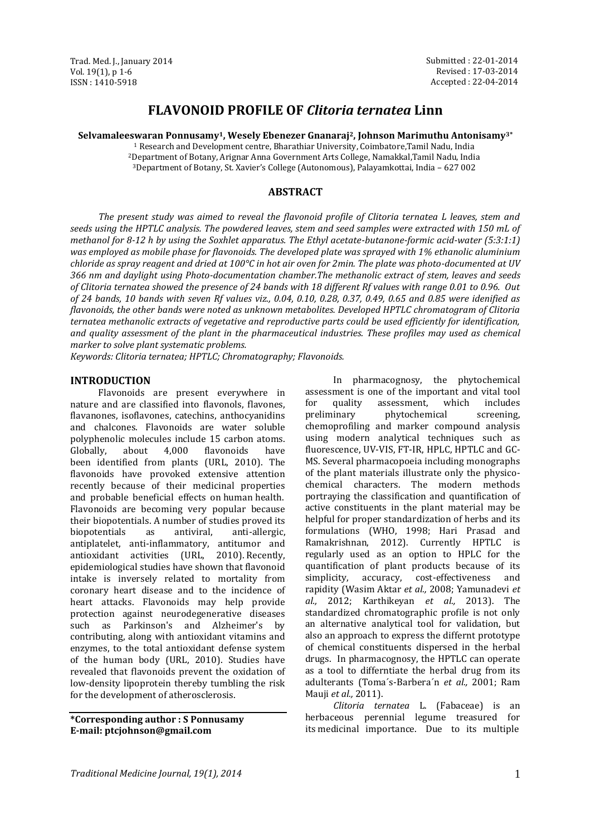# **FLAVONOID PROFILE OF** *Clitoria ternatea* **Linn**

**Selvamaleeswaran Ponnusamy1, Wesely Ebenezer Gnanaraj2, Johnson Marimuthu Antonisamy3\***

<sup>1</sup> Research and Development centre, Bharathiar University, Coimbatore,Tamil Nadu, India <sup>2</sup>Department of Botany, Arignar Anna Government Arts College, Namakkal,Tamil Nadu, India

<sup>3</sup>Department of Botany, St. Xavier's College (Autonomous), Palayamkottai, India – 627 002

#### **ABSTRACT**

*The present study was aimed to reveal the flavonoid profile of Clitoria ternatea L leaves, stem and seeds using the HPTLC analysis. The powdered leaves, stem and seed samples were extracted with 150 mL of methanol for 8-12 h by using the Soxhlet apparatus. The Ethyl acetate-butanone-formic acid-water (5:3:1:1) was employed as mobile phase for flavonoids. The developed plate was sprayed with 1% ethanolic aluminium chloride as spray reagent and dried at 100°C in hot air oven for 2min. The plate was photo-documented at UV 366 nm and daylight using Photo-documentation chamber.The methanolic extract of stem, leaves and seeds of Clitoria ternatea showed the presence of 24 bands with 18 different Rf values with range 0.01 to 0.96. Out of 24 bands, 10 bands with seven Rf values viz., 0.04, 0.10, 0.28, 0.37, 0.49, 0.65 and 0.85 were idenified as flavonoids, the other bands were noted as unknown metabolites. Developed HPTLC chromatogram of Clitoria ternatea methanolic extracts of vegetative and reproductive parts could be used efficiently for identification, and quality assessment of the plant in the pharmaceutical industries. These profiles may used as chemical marker to solve plant systematic problems.*

*Keywords: Clitoria ternatea; HPTLC; Chromatography; Flavonoids.* 

#### **INTRODUCTION**

Flavonoids are present everywhere in nature and are classified into flavonols, flavones, flavanones, isoflavones, catechins, anthocyanidins and chalcones. Flavonoids are water soluble polyphenolic molecules include 15 carbon atoms. Globally, about 4,000 flavonoids have been identified from plants (URL, 2010). The flavonoids have provoked extensive attention recently because of their medicinal properties and probable beneficial effects on human health. Flavonoids are becoming very popular because their biopotentials. A number of studies proved its biopotentials as antiviral, anti-allergic, antiplatelet, anti-inflammatory, antitumor and antioxidant activities (URL, 2010). Recently, epidemiological studies have shown that flavonoid intake is inversely related to mortality from coronary heart disease and to the incidence of heart attacks. Flavonoids may help provide protection against neurodegenerative diseases such as Parkinson's and Alzheimer's by contributing, along with antioxidant vitamins and enzymes, to the total antioxidant defense system of the human body (URL, 2010). Studies have revealed that flavonoids prevent the oxidation of low-density lipoprotein thereby tumbling the risk for the development of atherosclerosis.

**\*Corresponding author : S Ponnusamy E-mail: ptcjohnson@gmail.com**

In pharmacognosy, the phytochemical assessment is one of the important and vital tool for quality assessment, which includes preliminary phytochemical screening, chemoprofiling and marker compound analysis using modern analytical techniques such as fluorescence, UV-VIS, FT-IR, HPLC, HPTLC and GC-MS. Several pharmacopoeia including monographs of the plant materials illustrate only the physicochemical characters. The modern methods portraying the classification and quantification of active constituents in the plant material may be helpful for proper standardization of herbs and its formulations (WHO, 1998; Hari Prasad and Ramakrishnan, 2012). Currently HPTLC is regularly used as an option to HPLC for the quantification of plant products because of its simplicity, accuracy, cost-effectiveness and rapidity (Wasim Aktar *et al.,* 2008; Yamunadevi *et al.,* 2012; Karthikeyan *et al.,* 2013). The standardized chromatographic profile is not only an alternative analytical tool for validation, but also an approach to express the differnt prototype of chemical constituents dispersed in the herbal drugs. In pharmacognosy, the HPTLC can operate as a tool to differntiate the herbal drug from its adulterants (Toma´s-Barbera´n *et al.,* 2001; Ram Mauji *et al.,* 2011).

*Clitoria ternatea* L. (Fabaceae) is an herbaceous perennial legume treasured for its medicinal importance. Due to its multiple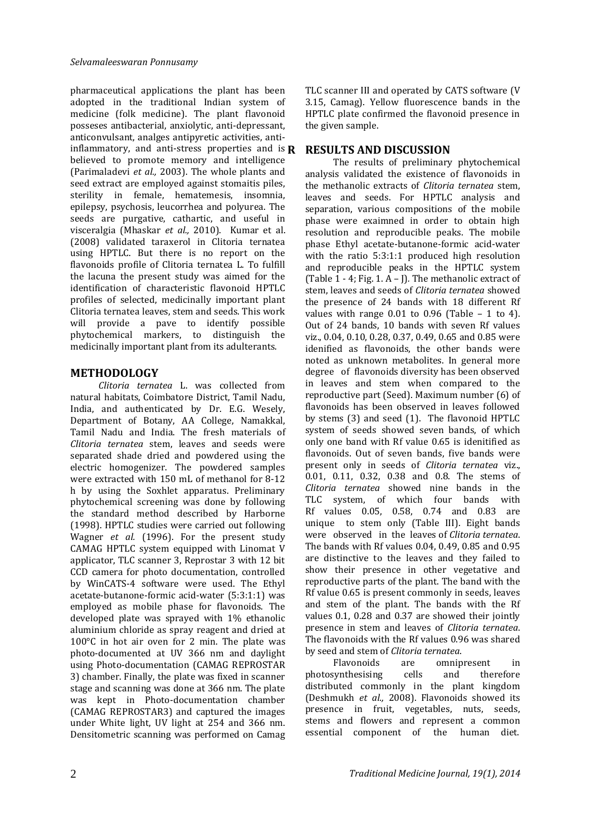pharmaceutical applications the plant has been adopted in the traditional Indian system of medicine (folk medicine). The plant flavonoid posseses antibacterial, anxiolytic, anti-depressant, anticonvulsant, analges antipyretic activities, antiinflammatory, and anti-stress properties and is  $\bf{R}$ believed to promote memory and intelligence (Parimaladevi *et al.,* 2003). The whole plants and seed extract are employed against stomaitis piles, sterility in female, hematemesis, insomnia, epilepsy, psychosis, leucorrhea and polyurea. The seeds are purgative, cathartic, and useful in visceralgia (Mhaskar *et al.,* 2010). Kumar et al. (2008) validated taraxerol in Clitoria ternatea using HPTLC. But there is no report on the flavonoids profile of Clitoria ternatea L. To fulfill the lacuna the present study was aimed for the identification of characteristic flavonoid HPTLC profiles of selected, medicinally important plant Clitoria ternatea leaves, stem and seeds. This work will provide a pave to identify possible phytochemical markers, to distinguish the medicinally important plant from its adulterants.

### **METHODOLOGY**

*Clitoria ternatea* L. was collected from natural habitats, Coimbatore District, Tamil Nadu, India, and authenticated by Dr. E.G. Wesely, Department of Botany, AA College, Namakkal, Tamil Nadu and India. The fresh materials of *Clitoria ternatea* stem, leaves and seeds were separated shade dried and powdered using the electric homogenizer. The powdered samples were extracted with 150 mL of methanol for 8-12 h by using the Soxhlet apparatus. Preliminary phytochemical screening was done by following the standard method described by Harborne (1998). HPTLC studies were carried out following Wagner *et al.* (1996). For the present study CAMAG HPTLC system equipped with Linomat V applicator, TLC scanner 3, Reprostar 3 with 12 bit CCD camera for photo documentation, controlled by WinCATS‐4 software were used. The Ethyl acetate-butanone-formic acid-water (5:3:1:1) was employed as mobile phase for flavonoids. The developed plate was sprayed with 1% ethanolic aluminium chloride as spray reagent and dried at 100°C in hot air oven for 2 min. The plate was photo-documented at UV 366 nm and daylight using Photo-documentation (CAMAG REPROSTAR 3) chamber. Finally, the plate was fixed in scanner stage and scanning was done at 366 nm. The plate was kept in Photo-documentation chamber (CAMAG REPROSTAR3) and captured the images under White light, UV light at 254 and 366 nm. Densitometric scanning was performed on Camag

TLC scanner III and operated by CATS software (V 3.15, Camag). Yellow fluorescence bands in the HPTLC plate confirmed the flavonoid presence in the given sample.

### **R RESULTS AND DISCUSSION**

The results of preliminary phytochemical analysis validated the existence of flavonoids in the methanolic extracts of *Clitoria ternatea* stem, leaves and seeds. For HPTLC analysis and separation, various compositions of the mobile phase were exaimned in order to obtain high resolution and reproducible peaks. The mobile phase Ethyl acetate-butanone-formic acid-water with the ratio 5:3:1:1 produced high resolution and reproducible peaks in the HPTLC system (Table 1 - 4; Fig. 1. A – J)*.* The methanolic extract of stem, leaves and seeds of *Clitoria ternatea* showed the presence of 24 bands with 18 different Rf values with range  $0.01$  to  $0.96$  (Table - 1 to 4). Out of 24 bands, 10 bands with seven Rf values viz., 0.04, 0.10, 0.28, 0.37, 0.49, 0.65 and 0.85 were idenified as flavonoids, the other bands were noted as unknown metabolites. In general more degree of flavonoids diversity has been observed in leaves and stem when compared to the reproductive part (Seed). Maximum number (6) of flavonoids has been observed in leaves followed by stems (3) and seed (1). The flavonoid HPTLC system of seeds showed seven bands, of which only one band with Rf value 0.65 is idenitified as flavonoids. Out of seven bands, five bands were present only in seeds of *Clitoria ternatea* viz., 0.01, 0.11, 0.32, 0.38 and 0.8. The stems of *Clitoria ternatea* showed nine bands in the TLC system, of which four bands with Rf values 0.05, 0.58, 0.74 and 0.83 are unique to stem only (Table III). Eight bands were observed in the leaves of *Clitoria ternatea*. The bands with Rf values 0.04, 0.49, 0.85 and 0.95 are distinctive to the leaves and they failed to show their presence in other vegetative and reproductive parts of the plant. The band with the Rf value 0.65 is present commonly in seeds, leaves and stem of the plant. The bands with the Rf values 0.1, 0.28 and 0.37 are showed their jointly presence in stem and leaves of *Clitoria ternatea*. The flavonoids with the Rf values 0.96 was shared by seed and stem of *Clitoria ternatea*.

Flavonoids are omnipresent in photosynthesising cells and therefore distributed commonly in the plant kingdom (Deshmukh *et al.,* 2008). Flavonoids showed its presence in fruit, vegetables, nuts, seeds, stems and flowers and represent a common essential component of the human diet.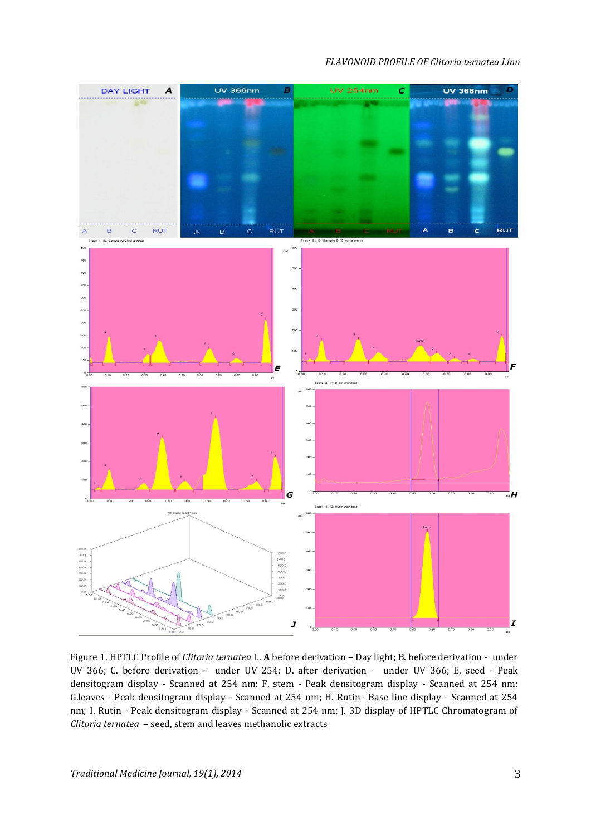#### *FLAVONOID PROFILE OF Clitoria ternatea Linn*



Figure 1. HPTLC Profile of *Clitoria ternatea* L. **A** before derivation – Day light; B. before derivation - under UV 366; C. before derivation - under UV 254; D. after derivation - under UV 366; E. seed - Peak densitogram display - Scanned at 254 nm; F. stem - Peak densitogram display - Scanned at 254 nm; G.leaves - Peak densitogram display - Scanned at 254 nm; H. Rutin– Base line display - Scanned at 254 nm; I. Rutin - Peak densitogram display - Scanned at 254 nm; J. 3D display of HPTLC Chromatogram of *Clitoria ternatea* – seed, stem and leaves methanolic extracts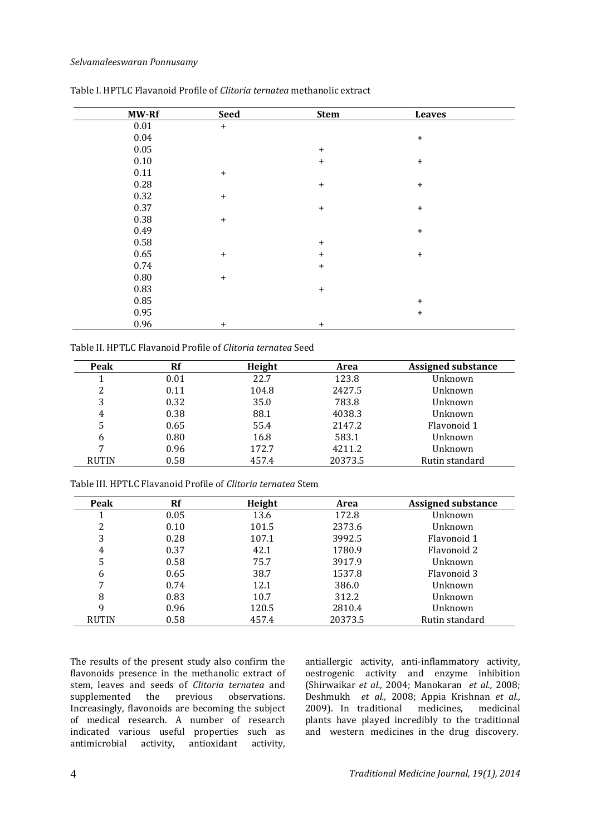#### *Selvamaleeswaran Ponnusamy*

| MW-Rf    | <b>Seed</b> | <b>Stem</b> | <b>Leaves</b> |  |
|----------|-------------|-------------|---------------|--|
| $0.01\,$ | $\ddot{}$   |             |               |  |
| $0.04\,$ |             |             | $\ddot{}$     |  |
| 0.05     |             | $\ddot{}$   |               |  |
| $0.10\,$ |             | $\ddot{}$   | $\ddot{}$     |  |
| 0.11     | $\ddot{}$   |             |               |  |
| 0.28     |             | $\ddot{}$   | $\ddot{}$     |  |
| 0.32     | $\ddot{}$   |             |               |  |
| 0.37     |             | $\ddot{}$   | $\ddot{}$     |  |
| 0.38     | $\ddot{}$   |             |               |  |
| 0.49     |             |             | $\ddot{}$     |  |
| 0.58     |             | $\ddot{}$   |               |  |
| 0.65     | $\ddot{}$   | $\ddot{}$   | $\ddot{}$     |  |
| 0.74     |             | $\ddot{}$   |               |  |
| $0.80\,$ | $\ddot{}$   |             |               |  |
| 0.83     |             | $\ddot{}$   |               |  |
| 0.85     |             |             | $\ddot{}$     |  |
| 0.95     |             |             | $\ddot{}$     |  |
| 0.96     | $\ddot{}$   | $\ddot{}$   |               |  |

Table I. HPTLC Flavanoid Profile of *Clitoria ternatea* methanolic extract

Table II. HPTLC Flavanoid Profile of *Clitoria ternatea* Seed

| Peak         | Rf   | Height | Area    | Assigned substance |
|--------------|------|--------|---------|--------------------|
|              | 0.01 | 22.7   | 123.8   | Unknown            |
| 2            | 0.11 | 104.8  | 2427.5  | Unknown            |
| 3            | 0.32 | 35.0   | 783.8   | Unknown            |
| 4            | 0.38 | 88.1   | 4038.3  | Unknown            |
| 5            | 0.65 | 55.4   | 2147.2  | Flavonoid 1        |
| 6            | 0.80 | 16.8   | 583.1   | Unknown            |
|              | 0.96 | 172.7  | 4211.2  | Unknown            |
| <b>RUTIN</b> | 0.58 | 457.4  | 20373.5 | Rutin standard     |

Table III. HPTLC Flavanoid Profile of *Clitoria ternatea* Stem

| Peak         | Rf   | Height | Area    | <b>Assigned substance</b> |
|--------------|------|--------|---------|---------------------------|
|              | 0.05 | 13.6   | 172.8   | Unknown                   |
| 2            | 0.10 | 101.5  | 2373.6  | Unknown                   |
| 3            | 0.28 | 107.1  | 3992.5  | Flavonoid 1               |
| 4            | 0.37 | 42.1   | 1780.9  | Flavonoid 2               |
| 5            | 0.58 | 75.7   | 3917.9  | Unknown                   |
| 6            | 0.65 | 38.7   | 1537.8  | Flavonoid 3               |
| 7            | 0.74 | 12.1   | 386.0   | Unknown                   |
| 8            | 0.83 | 10.7   | 312.2   | Unknown                   |
| 9            | 0.96 | 120.5  | 2810.4  | Unknown                   |
| <b>RUTIN</b> | 0.58 | 457.4  | 20373.5 | Rutin standard            |

The results of the present study also confirm the flavonoids presence in the methanolic extract of stem, leaves and seeds of *Clitoria ternatea* and supplemented the previous observations. Increasingly, flavonoids are becoming the subject of medical research. A number of research indicated various useful properties such as antimicrobial activity, antioxidant activity,

antiallergic activity, anti-inflammatory activity, oestrogenic activity and enzyme inhibition (Shirwaikar *et al.,* 2004; Manokaran *et al.,* 2008; Deshmukh *et al.,* 2008; Appia Krishnan *et al.,* 2009). In traditional medicines, medicinal plants have played incredibly to the traditional and western medicines in the drug discovery.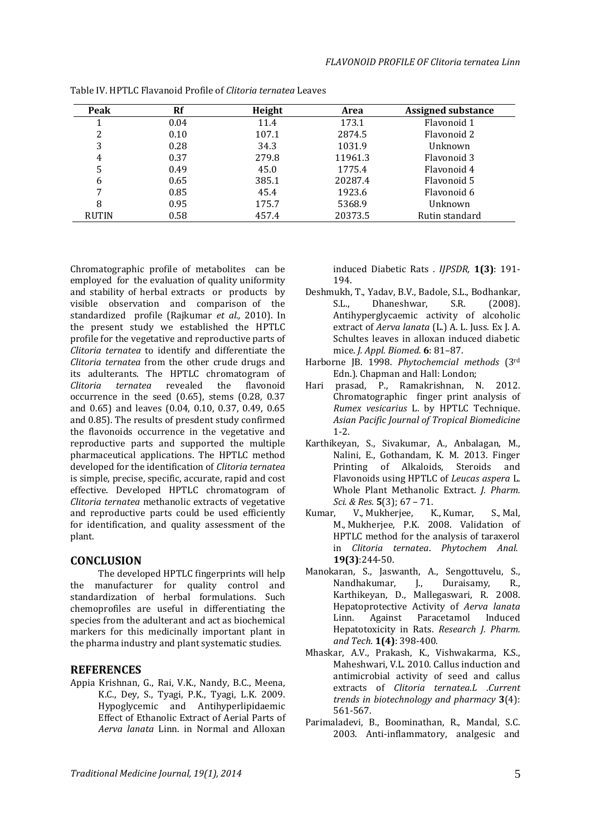| Peak         | Rf   | Height | Area    | <b>Assigned substance</b> |
|--------------|------|--------|---------|---------------------------|
|              | 0.04 | 11.4   | 173.1   | Flavonoid 1               |
| 2            | 0.10 | 107.1  | 2874.5  | Flavonoid 2               |
| 3            | 0.28 | 34.3   | 1031.9  | Unknown                   |
| 4            | 0.37 | 279.8  | 11961.3 | Flavonoid 3               |
| 5            | 0.49 | 45.0   | 1775.4  | Flavonoid 4               |
| 6            | 0.65 | 385.1  | 20287.4 | Flavonoid 5               |
| 7            | 0.85 | 45.4   | 1923.6  | Flavonoid 6               |
| 8            | 0.95 | 175.7  | 5368.9  | Unknown                   |
| <b>RUTIN</b> | 0.58 | 457.4  | 20373.5 | Rutin standard            |

Table IV. HPTLC Flavanoid Profile of *Clitoria ternatea* Leaves

Chromatographic profile of metabolites can be employed for the evaluation of quality uniformity and stability of herbal extracts or products by visible observation and comparison of the standardized profile (Rajkumar *et al.,* 2010). In the present study we established the HPTLC profile for the vegetative and reproductive parts of *Clitoria ternatea* to identify and differentiate the *Clitoria ternatea* from the other crude drugs and its adulterants. The HPTLC chromatogram of *Clitoria ternatea* revealed the flavonoid occurrence in the seed (0.65), stems (0.28, 0.37 and 0.65) and leaves (0.04, 0.10, 0.37, 0.49, 0.65 and 0.85). The results of presdent study confirmed the flavonoids occurrence in the vegetative and reproductive parts and supported the multiple pharmaceutical applications. The HPTLC method developed for the identification of *Clitoria ternatea* is simple, precise, specific, accurate, rapid and cost effective. Developed HPTLC chromatogram of *Clitoria ternatea* methanolic extracts of vegetative and reproductive parts could be used efficiently for identification, and quality assessment of the plant.

## **CONCLUSION**

The developed HPTLC fingerprints will help the manufacturer for quality control and standardization of herbal formulations. Such chemoprofiles are useful in differentiating the species from the adulterant and act as biochemical markers for this medicinally important plant in the pharma industry and plant systematic studies.

## **REFERENCES**

Appia Krishnan, G., Rai, V.K., Nandy, B.C., Meena, K.C., Dey, S., Tyagi, P.K., Tyagi, L.K. 2009. Hypoglycemic and Antihyperlipidaemic Effect of Ethanolic Extract of Aerial Parts of *Aerva lanata* Linn. in Normal and Alloxan induced Diabetic Rats . *IJPSDR,* **1(3)**: 191- 194.

- Deshmukh, T., Yadav, B.V., Badole, S.L., Bodhankar, S.L., Dhaneshwar, S.R. (2008). Antihyperglycaemic activity of alcoholic extract of *Aerva lanata* (L.) A. L. Juss. Ex J. A. Schultes leaves in alloxan induced diabetic mice. *J. Appl. Biomed.* **6**: 81–87.
- Harborne JB. 1998. *Phytochemcial methods* (3rd Edn.). Chapman and Hall: London;
- Hari prasad, P., Ramakrishnan, N. 2012. Chromatographic finger print analysis of *Rumex vesicarius* L. by HPTLC Technique. *Asian Pacific Journal of Tropical Biomedicine* 1-2.
- Karthikeyan, S., Sivakumar, A., Anbalagan, M., Nalini, E., Gothandam, K. M. 2013. Finger Printing of Alkaloids, Steroids and Flavonoids using HPTLC of *Leucas aspera* L. Whole Plant Methanolic Extract. *J. Pharm. Sci. & Res.* **5**(3); 67 – 71.
- [Kumar, V.,](http://www.ncbi.nlm.nih.gov/pubmed?term=Kumar%20V%5BAuthor%5D&cauthor=true&cauthor_uid=17994532) [Mukherjee, K.,](http://www.ncbi.nlm.nih.gov/pubmed?term=Mukherjee%20K%5BAuthor%5D&cauthor=true&cauthor_uid=17994532) [Kumar, S.](http://www.ncbi.nlm.nih.gov/pubmed?term=Kumar%20S%5BAuthor%5D&cauthor=true&cauthor_uid=17994532), [Mal,](http://www.ncbi.nlm.nih.gov/pubmed?term=Mal%20M%5BAuthor%5D&cauthor=true&cauthor_uid=17994532)  [M.](http://www.ncbi.nlm.nih.gov/pubmed?term=Mal%20M%5BAuthor%5D&cauthor=true&cauthor_uid=17994532), [Mukherjee, P.K.](http://www.ncbi.nlm.nih.gov/pubmed?term=Mukherjee%20PK%5BAuthor%5D&cauthor=true&cauthor_uid=17994532) 2008. Validation of HPTLC method for the analysis of taraxerol in *Clitoria ternatea*. *[Phytochem Anal.](http://www.ncbi.nlm.nih.gov/pubmed/17994532)* **19(3)**:244-50.
- Manokaran, S., Jaswanth, A., Sengottuvelu, S., Nandhakumar, J., Duraisamy, R., Karthikeyan, D., Mallegaswari, R. 2008. Hepatoprotective Activity of *Aerva lanata* Linn. Against Paracetamol Induced Hepatotoxicity in Rats. *Research J. Pharm. and Tech.* **1(4)**: 398-400.
- Mhaskar, A.V., Prakash, K., Vishwakarma, K.S., Maheshwari, V.L. 2010. Callus induction and antimicrobial activity of seed and callus extracts of *Clitoria ternatea.L* .*Current trends in biotechnology and pharmacy* **3**(4): 561-567.
- Parimaladevi, B., Boominathan, R., Mandal, S.C. 2003. Anti-inflammatory, analgesic and